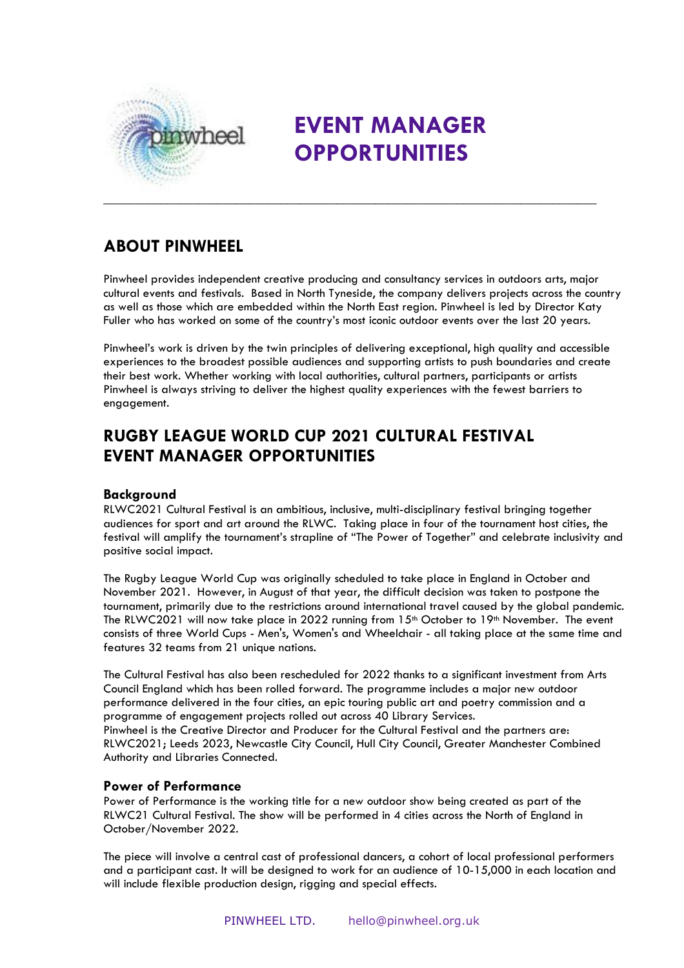

# **EVENT MANAGER OPPORTUNITIES**

# **ABOUT PINWHEEL**

Pinwheel provides independent creative producing and consultancy services in outdoors arts, major cultural events and festivals. Based in North Tyneside, the company delivers projects across the country as well as those which are embedded within the North East region. Pinwheel is led by Director Katy Fuller who has worked on some of the country's most iconic outdoor events over the last 20 years.

Pinwheel's work is driven by the twin principles of delivering exceptional, high quality and accessible experiences to the broadest possible audiences and supporting artists to push boundaries and create their best work. Whether working with local authorities, cultural partners, participants or artists Pinwheel is always striving to deliver the highest quality experiences with the fewest barriers to engagement.

# **RUGBY LEAGUE WORLD CUP 2021 CULTURAL FESTIVAL EVENT MANAGER OPPORTUNITIES**

# **Background**

RLWC2021 Cultural Festival is an ambitious, inclusive, multi-disciplinary festival bringing together audiences for sport and art around the RLWC. Taking place in four of the tournament host cities, the festival will amplify the tournament's strapline of "The Power of Together" and celebrate inclusivity and positive social impact.

The Rugby League World Cup was originally scheduled to take place in England in October and November 2021. However, in August of that year, the difficult decision was taken to postpone the tournament, primarily due to the restrictions around international travel caused by the global pandemic. The RLWC2021 will now take place in 2022 running from 15<sup>th</sup> October to 19<sup>th</sup> November. The event consists of three World Cups - Men's, Women's and Wheelchair - all taking place at the same time and features 32 teams from 21 unique nations.

The Cultural Festival has also been rescheduled for 2022 thanks to a significant investment from Arts Council England which has been rolled forward. The programme includes a major new outdoor performance delivered in the four cities, an epic touring public art and poetry commission and a programme of engagement projects rolled out across 40 Library Services. Pinwheel is the Creative Director and Producer for the Cultural Festival and the partners are: RLWC2021; Leeds 2023, Newcastle City Council, Hull City Council, Greater Manchester Combined Authority and Libraries Connected.

## **Power of Performance**

Power of Performance is the working title for a new outdoor show being created as part of the RLWC21 Cultural Festival. The show will be performed in 4 cities across the North of England in October/November 2022.

The piece will involve a central cast of professional dancers, a cohort of local professional performers and a participant cast. It will be designed to work for an audience of 10-15,000 in each location and will include flexible production design, rigging and special effects.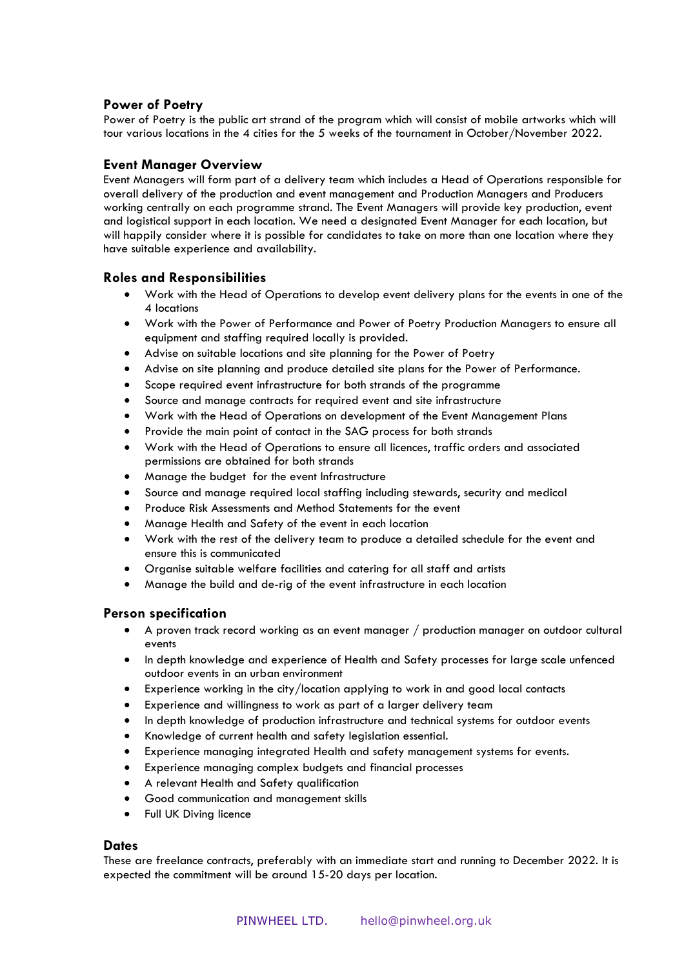## **Power of Poetry**

Power of Poetry is the public art strand of the program which will consist of mobile artworks which will tour various locations in the 4 cities for the 5 weeks of the tournament in October/November 2022.

### **Event Manager Overview**

Event Managers will form part of a delivery team which includes a Head of Operations responsible for overall delivery of the production and event management and Production Managers and Producers working centrally on each programme strand. The Event Managers will provide key production, event and logistical support in each location. We need a designated Event Manager for each location, but will happily consider where it is possible for candidates to take on more than one location where they have suitable experience and availability.

#### **Roles and Responsibilities**

- Work with the Head of Operations to develop event delivery plans for the events in one of the 4 locations
- Work with the Power of Performance and Power of Poetry Production Managers to ensure all equipment and staffing required locally is provided.
- Advise on suitable locations and site planning for the Power of Poetry
- Advise on site planning and produce detailed site plans for the Power of Performance.
- Scope required event infrastructure for both strands of the programme
- Source and manage contracts for required event and site infrastructure
- Work with the Head of Operations on development of the Event Management Plans
- Provide the main point of contact in the SAG process for both strands
- Work with the Head of Operations to ensure all licences, traffic orders and associated permissions are obtained for both strands
- Manage the budget for the event Infrastructure
- Source and manage required local staffing including stewards, security and medical
- Produce Risk Assessments and Method Statements for the event
- Manage Health and Safety of the event in each location
- Work with the rest of the delivery team to produce a detailed schedule for the event and ensure this is communicated
- Organise suitable welfare facilities and catering for all staff and artists
- Manage the build and de-rig of the event infrastructure in each location

#### **Person specification**

- A proven track record working as an event manager / production manager on outdoor cultural events
- In depth knowledge and experience of Health and Safety processes for large scale unfenced outdoor events in an urban environment
- Experience working in the city/location applying to work in and good local contacts
- Experience and willingness to work as part of a larger delivery team
- In depth knowledge of production infrastructure and technical systems for outdoor events
- Knowledge of current health and safety legislation essential.
- Experience managing integrated Health and safety management systems for events.
- Experience managing complex budgets and financial processes
- A relevant Health and Safety qualification
- Good communication and management skills
- Full UK Diving licence

#### **Dates**

These are freelance contracts, preferably with an immediate start and running to December 2022. It is expected the commitment will be around 15-20 days per location.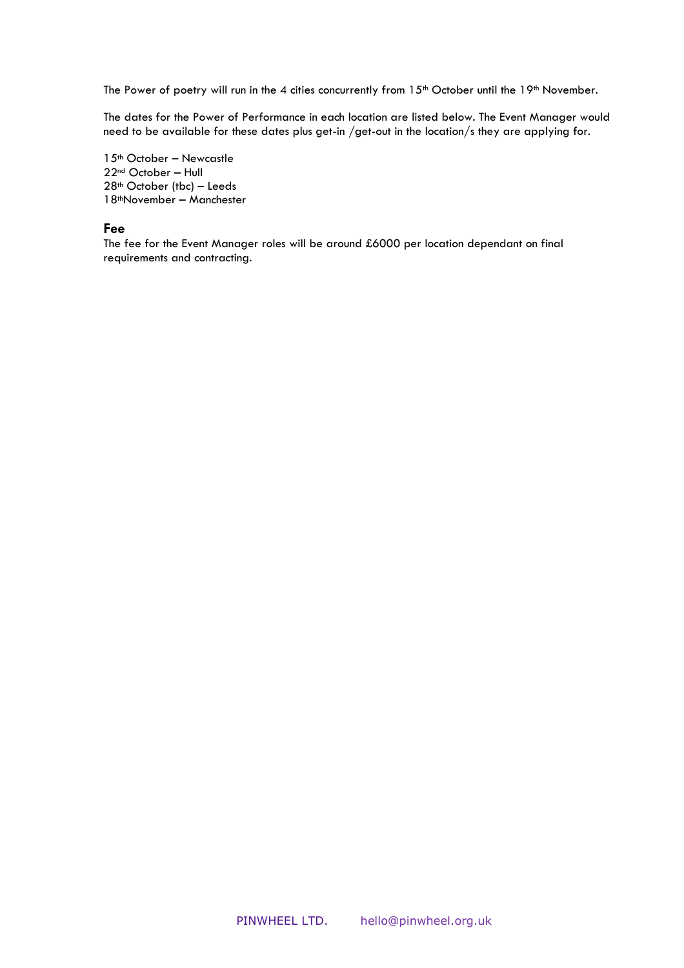The Power of poetry will run in the 4 cities concurrently from 15<sup>th</sup> October until the 19<sup>th</sup> November.

The dates for the Power of Performance in each location are listed below. The Event Manager would need to be available for these dates plus get-in /get-out in the location/s they are applying for.

th October – Newcastle nd October – Hull th October (tbc) – Leeds thNovember – Manchester

#### **Fee**

The fee for the Event Manager roles will be around £6000 per location dependant on final requirements and contracting.